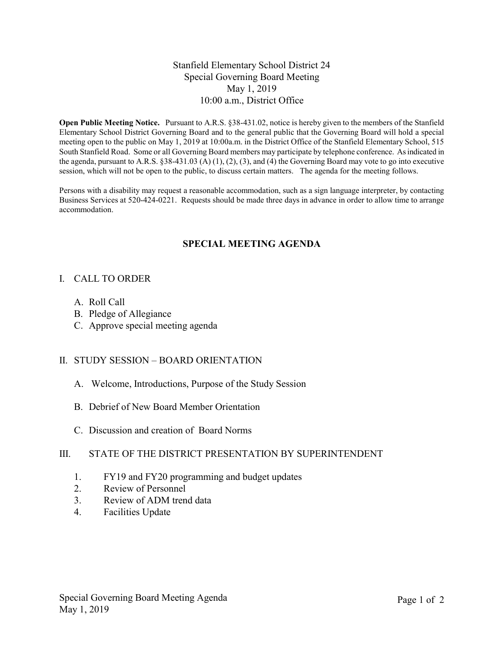#### Stanfield Elementary School District 24 Special Governing Board Meeting May 1, 2019 10:00 a.m., District Office

Open Public Meeting Notice. Pursuant to A.R.S. §38-431.02, notice is hereby given to the members of the Stanfield Elementary School District Governing Board and to the general public that the Governing Board will hold a special meeting open to the public on May 1, 2019 at 10:00a.m. in the District Office of the Stanfield Elementary School, 515 South Stanfield Road. Some or all Governing Board members may participate by telephone conference. As indicated in the agenda, pursuant to A.R.S. §38-431.03 (A) (1), (2), (3), and (4) the Governing Board may vote to go into executive session, which will not be open to the public, to discuss certain matters. The agenda for the meeting follows.

Persons with a disability may request a reasonable accommodation, such as a sign language interpreter, by contacting Business Services at 520-424-0221. Requests should be made three days in advance in order to allow time to arrange accommodation.

### SPECIAL MEETING AGENDA

#### I. CALL TO ORDER

- A. Roll Call
- B. Pledge of Allegiance
- C. Approve special meeting agenda

#### II. STUDY SESSION – BOARD ORIENTATION

- A. Welcome, Introductions, Purpose of the Study Session
- B. Debrief of New Board Member Orientation
- C. Discussion and creation of Board Norms

#### III. STATE OF THE DISTRICT PRESENTATION BY SUPERINTENDENT

- 1. FY19 and FY20 programming and budget updates
- 2. Review of Personnel
- 3. Review of ADM trend data
- 4. Facilities Update